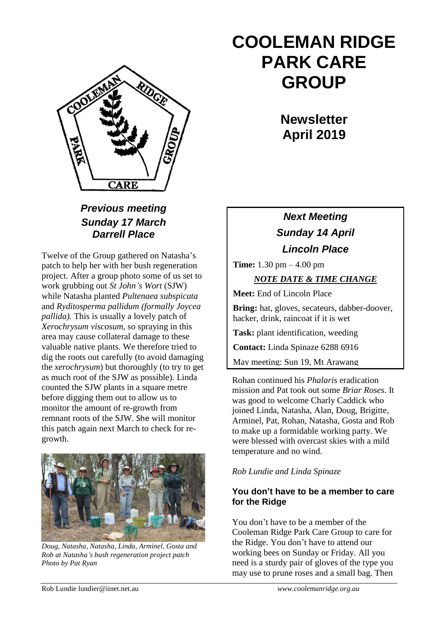

## *Previous meeting Sunday 17 March Darrell Place*

Twelve of the Group gathered on Natasha's patch to help her with her bush regeneration project. After a group photo some of us set to work grubbing out *St John's Wort* (SJW) while Natasha planted *Pultenaea subspicata*  and *Ryditosperma pallidum (formally Joycea pallida).* This is usually a lovely patch of *Xerochrysum viscosum*, so spraying in this area may cause collateral damage to these valuable native plants. We therefore tried to dig the roots out carefully (to avoid damaging the *xerochrysum*) but thoroughly (to try to get as much root of the SJW as possible). Linda counted the SJW plants in a square metre before digging them out to allow us to monitor the amount of re-growth from remnant roots of the SJW. She will monitor this patch again next March to check for regrowth.



*Doug, Natasha, Natasha, Linda, Arminel, Gosta and Rob at Natasha's bush regeneration project patch Photo by Pat Ryan*

# **COOLEMAN RIDGE PARK CARE GROUP**

**Newsletter April 2019** 

# *Next Meeting Sunday 14 April Lincoln Place*

**Time:** 1.30 pm – 4.00 pm

#### *NOTE DATE & TIME CHANGE*

**Meet:** End of Lincoln Place

**Bring:** hat, gloves, secateurs, dabber-doover, hacker, drink, raincoat if it is wet

**Task:** plant identification, weeding

**Contact:** Linda Spinaze 6288 6916

May meeting: Sun 19, Mt Arawang

Rohan continued his *Phalaris* eradication mission and Pat took out some *Briar Roses*. It was good to welcome Charly Caddick who joined Linda, Natasha, Alan, Doug, Brigitte, Arminel, Pat, Rohan, Natasha, Gosta and Rob to make up a formidable working party. We were blessed with overcast skies with a mild temperature and no wind.

#### *Rob Lundie and Linda Spinaze*

#### **You don't have to be a member to care for the Ridge**

You don't have to be a member of the Cooleman Ridge Park Care Group to care for the Ridge. You don't have to attend our working bees on Sunday or Friday. All you need is a sturdy pair of gloves of the type you may use to prune roses and a small bag. Then